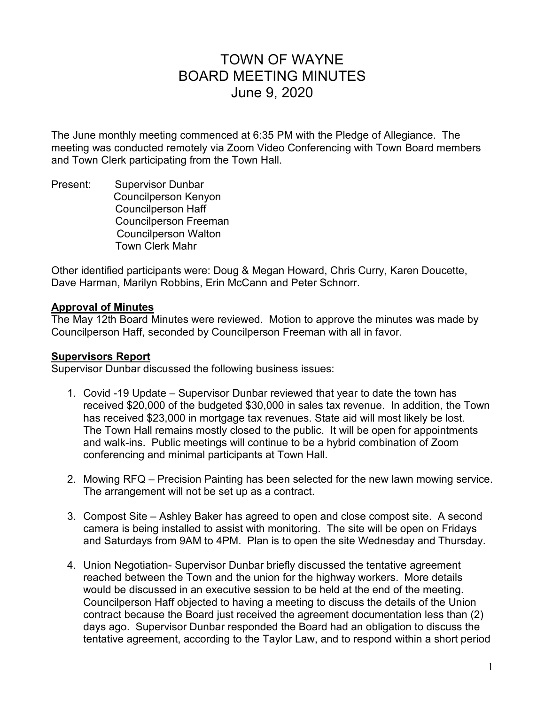# TOWN OF WAYNE BOARD MEETING MINUTES June 9, 2020

The June monthly meeting commenced at 6:35 PM with the Pledge of Allegiance. The meeting was conducted remotely via Zoom Video Conferencing with Town Board members and Town Clerk participating from the Town Hall.

Present: Supervisor Dunbar Councilperson Kenyon Councilperson Haff Councilperson Freeman Councilperson Walton Town Clerk Mahr

Other identified participants were: Doug & Megan Howard, Chris Curry, Karen Doucette, Dave Harman, Marilyn Robbins, Erin McCann and Peter Schnorr.

#### **Approval of Minutes**

The May 12th Board Minutes were reviewed. Motion to approve the minutes was made by Councilperson Haff, seconded by Councilperson Freeman with all in favor.

#### **Supervisors Report**

Supervisor Dunbar discussed the following business issues:

- 1. Covid -19 Update Supervisor Dunbar reviewed that year to date the town has received \$20,000 of the budgeted \$30,000 in sales tax revenue. In addition, the Town has received \$23,000 in mortgage tax revenues. State aid will most likely be lost. The Town Hall remains mostly closed to the public. It will be open for appointments and walk-ins. Public meetings will continue to be a hybrid combination of Zoom conferencing and minimal participants at Town Hall.
- 2. Mowing RFQ Precision Painting has been selected for the new lawn mowing service. The arrangement will not be set up as a contract.
- 3. Compost Site Ashley Baker has agreed to open and close compost site. A second camera is being installed to assist with monitoring. The site will be open on Fridays and Saturdays from 9AM to 4PM. Plan is to open the site Wednesday and Thursday.
- 4. Union Negotiation- Supervisor Dunbar briefly discussed the tentative agreement reached between the Town and the union for the highway workers. More details would be discussed in an executive session to be held at the end of the meeting. Councilperson Haff objected to having a meeting to discuss the details of the Union contract because the Board just received the agreement documentation less than (2) days ago. Supervisor Dunbar responded the Board had an obligation to discuss the tentative agreement, according to the Taylor Law, and to respond within a short period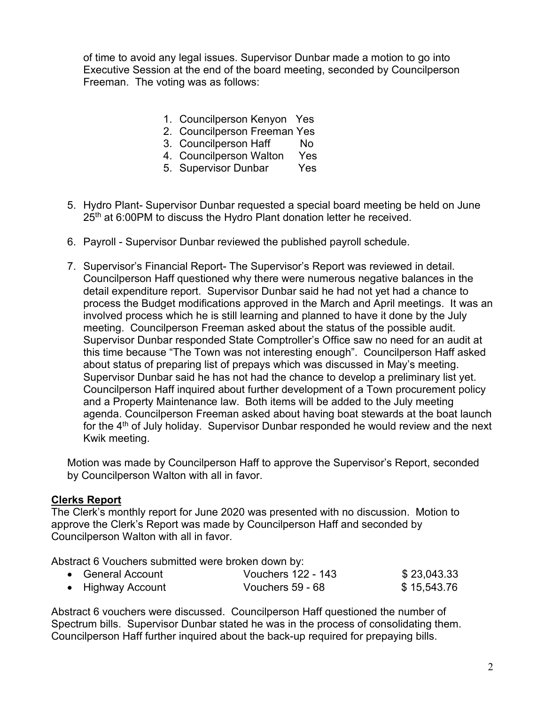of time to avoid any legal issues. Supervisor Dunbar made a motion to go into Executive Session at the end of the board meeting, seconded by Councilperson Freeman. The voting was as follows:

- 1. Councilperson Kenyon Yes
- 2. Councilperson Freeman Yes
- 3. Councilperson Haff No
- 4. Councilperson Walton Yes
- 5. Supervisor Dunbar Yes
- 5. Hydro Plant- Supervisor Dunbar requested a special board meeting be held on June 25<sup>th</sup> at 6:00PM to discuss the Hydro Plant donation letter he received.
- 6. Payroll Supervisor Dunbar reviewed the published payroll schedule.
- 7. Supervisor's Financial Report- The Supervisor's Report was reviewed in detail. Councilperson Haff questioned why there were numerous negative balances in the detail expenditure report. Supervisor Dunbar said he had not yet had a chance to process the Budget modifications approved in the March and April meetings. It was an involved process which he is still learning and planned to have it done by the July meeting. Councilperson Freeman asked about the status of the possible audit. Supervisor Dunbar responded State Comptroller's Office saw no need for an audit at this time because "The Town was not interesting enough". Councilperson Haff asked about status of preparing list of prepays which was discussed in May's meeting. Supervisor Dunbar said he has not had the chance to develop a preliminary list yet. Councilperson Haff inquired about further development of a Town procurement policy and a Property Maintenance law. Both items will be added to the July meeting agenda. Councilperson Freeman asked about having boat stewards at the boat launch for the  $4<sup>th</sup>$  of July holiday. Supervisor Dunbar responded he would review and the next Kwik meeting.

Motion was made by Councilperson Haff to approve the Supervisor's Report, seconded by Councilperson Walton with all in favor.

#### **Clerks Report**

The Clerk's monthly report for June 2020 was presented with no discussion. Motion to approve the Clerk's Report was made by Councilperson Haff and seconded by Councilperson Walton with all in favor.

Abstract 6 Vouchers submitted were broken down by:

| • General Account | Vouchers 122 - 143 | \$23,043.33 |
|-------------------|--------------------|-------------|
| • Highway Account | Vouchers 59 - 68   | \$15,543.76 |

Abstract 6 vouchers were discussed. Councilperson Haff questioned the number of Spectrum bills. Supervisor Dunbar stated he was in the process of consolidating them. Councilperson Haff further inquired about the back-up required for prepaying bills.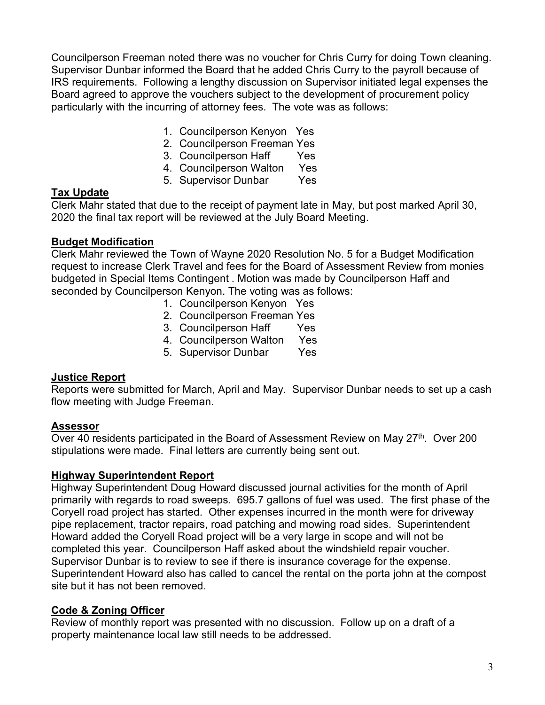Councilperson Freeman noted there was no voucher for Chris Curry for doing Town cleaning. Supervisor Dunbar informed the Board that he added Chris Curry to the payroll because of IRS requirements. Following a lengthy discussion on Supervisor initiated legal expenses the Board agreed to approve the vouchers subject to the development of procurement policy particularly with the incurring of attorney fees. The vote was as follows:

- 1. Councilperson Kenyon Yes
- 2. Councilperson Freeman Yes
- 3. Councilperson Haff Yes
- 4. Councilperson Walton Yes
- 5. Supervisor Dunbar Yes

#### **Tax Update**

Clerk Mahr stated that due to the receipt of payment late in May, but post marked April 30, 2020 the final tax report will be reviewed at the July Board Meeting.

#### **Budget Modification**

Clerk Mahr reviewed the Town of Wayne 2020 Resolution No. 5 for a Budget Modification request to increase Clerk Travel and fees for the Board of Assessment Review from monies budgeted in Special Items Contingent . Motion was made by Councilperson Haff and seconded by Councilperson Kenyon. The voting was as follows:

- 1. Councilperson Kenyon Yes
- 2. Councilperson Freeman Yes
- 3. Councilperson Haff Yes
- 4. Councilperson Walton Yes
- 5. Supervisor Dunbar Yes

## **Justice Report**

Reports were submitted for March, April and May. Supervisor Dunbar needs to set up a cash flow meeting with Judge Freeman.

#### **Assessor**

Over 40 residents participated in the Board of Assessment Review on May  $27<sup>th</sup>$ . Over 200 stipulations were made. Final letters are currently being sent out.

#### **Highway Superintendent Report**

Highway Superintendent Doug Howard discussed journal activities for the month of April primarily with regards to road sweeps. 695.7 gallons of fuel was used. The first phase of the Coryell road project has started. Other expenses incurred in the month were for driveway pipe replacement, tractor repairs, road patching and mowing road sides. Superintendent Howard added the Coryell Road project will be a very large in scope and will not be completed this year. Councilperson Haff asked about the windshield repair voucher. Supervisor Dunbar is to review to see if there is insurance coverage for the expense. Superintendent Howard also has called to cancel the rental on the porta john at the compost site but it has not been removed.

## **Code & Zoning Officer**

Review of monthly report was presented with no discussion. Follow up on a draft of a property maintenance local law still needs to be addressed.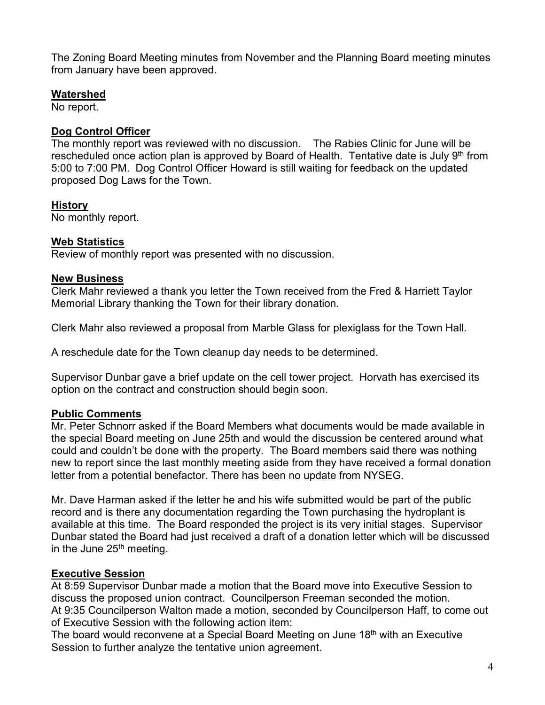The Zoning Board Meeting minutes from November and the Planning Board meeting minutes from January have been approved.

#### **Watershed**

No report.

## **Dog Control Officer**

The monthly report was reviewed with no discussion. The Rabies Clinic for June will be rescheduled once action plan is approved by Board of Health. Tentative date is July  $9<sup>th</sup>$  from 5:00 to 7:00 PM. Dog Control Officer Howard is still waiting for feedback on the updated proposed Dog Laws for the Town.

## **History**

No monthly report.

#### **Web Statistics**

Review of monthly report was presented with no discussion.

#### **New Business**

Clerk Mahr reviewed a thank you letter the Town received from the Fred & Harriett Taylor Memorial Library thanking the Town for their library donation.

Clerk Mahr also reviewed a proposal from Marble Glass for plexiglass for the Town Hall.

A reschedule date for the Town cleanup day needs to be determined.

Supervisor Dunbar gave a brief update on the cell tower project. Horvath has exercised its option on the contract and construction should begin soon.

## **Public Comments**

Mr. Peter Schnorr asked if the Board Members what documents would be made available in the special Board meeting on June 25th and would the discussion be centered around what could and couldn't be done with the property. The Board members said there was nothing new to report since the last monthly meeting aside from they have received a formal donation letter from a potential benefactor. There has been no update from NYSEG.

Mr. Dave Harman asked if the letter he and his wife submitted would be part of the public record and is there any documentation regarding the Town purchasing the hydroplant is available at this time. The Board responded the project is its very initial stages. Supervisor Dunbar stated the Board had just received a draft of a donation letter which will be discussed in the June  $25<sup>th</sup>$  meeting.

## **Executive Session**

At 8:59 Supervisor Dunbar made a motion that the Board move into Executive Session to discuss the proposed union contract. Councilperson Freeman seconded the motion. At 9:35 Councilperson Walton made a motion, seconded by Councilperson Haff, to come out of Executive Session with the following action item:

The board would reconvene at a Special Board Meeting on June 18<sup>th</sup> with an Executive Session to further analyze the tentative union agreement.